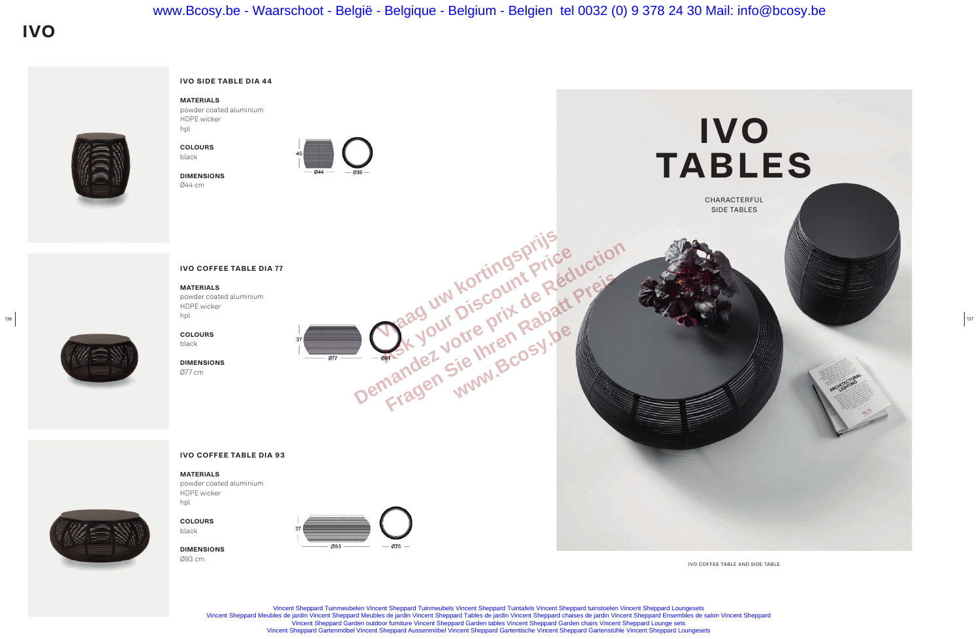## **IVO SIDE TABLE DIA 44**

**MATERIALS** powder coated aluminium HDPE wicker hpl

**COLOURS** black

**DIMENSIONS** Ø44 cm



### **IVO COFFEE TABLE DIA 77**

# **MATERIALS**

powder coated aluminium HDPE wicker hpl

**COLOURS** black



**DIMENSIONS** Ø77 cm

## **IVO COFFEE TABLE DIA 93**

### **MATERIALS**

powder coated aluminium HDPE wicker hpl

**COLOURS** black

**DIMENSIONS** Ø93 cm



IVO COFFEE TABLE AND SIDE TABLE

# **IVO**





Vincent Sheppard Tuinmeubelen Vincent Sheppard Tuinmeubels Vincent Sheppard Tuintafels Vincent Sheppard tuinstoelen Vincent Sheppard Loungesets [Vincent Sheppard Meubles de jardin Vincent Sheppard Meubles de jardin Vincent Sheppard Tables de jardin Vincent Sheppard chaises de jardin Vincent Sheppard Ensembles de salon Vincent Sheppard](https://www.bcosy.be/webshop/merken/vincent-sheppard-outdoor-tuinmeubelen-mobilier-meubles-de-jardin-garden-outdoor-furniture-webshop-boutique-vente-en-ligne-catalogus-catalogue-vincentsheppard/)  Vincent Sheppard Garden outdoor furniture Vincent Sheppard Garden tables Vincent Sheppard Garden chairs Vincent Sheppard Lounge sets Vincent Sheppard Gartenmöbel Vincent Sheppard Aussenmöbel Vincent Sheppard Gartentische Vincent Sheppard Gartenstühle Vincent Sheppard Loungesets